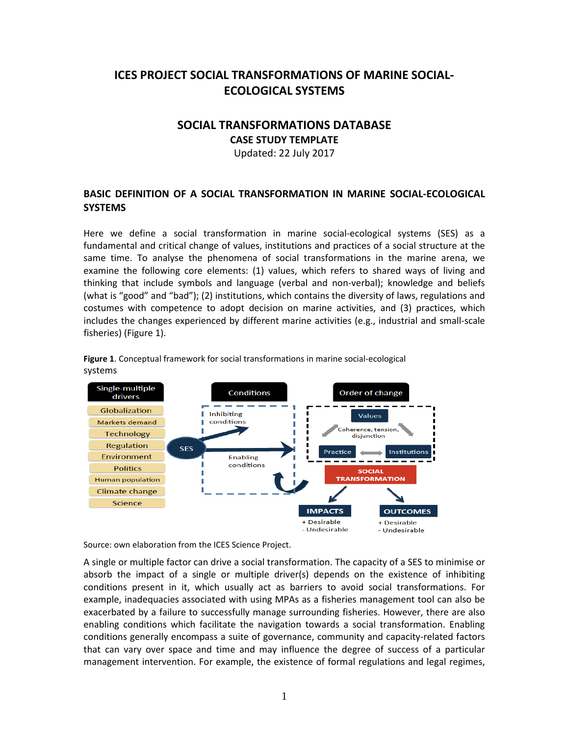# **ICES PROJECT SOCIAL TRANSFORMATIONS OF MARINE SOCIAL-ECOLOGICAL SYSTEMS**

## **SOCIAL TRANSFORMATIONS DATABASE**

**CASE STUDY TEMPLATE**

Updated: 22 July 2017

## **BASIC DEFINITION OF A SOCIAL TRANSFORMATION IN MARINE SOCIAL-ECOLOGICAL SYSTEMS**

Here we define a social transformation in marine social-ecological systems (SES) as a fundamental and critical change of values, institutions and practices of a social structure at the same time. To analyse the phenomena of social transformations in the marine arena, we examine the following core elements: (1) values, which refers to shared ways of living and thinking that include symbols and language (verbal and non-verbal); knowledge and beliefs (what is "good" and "bad"); (2) institutions, which contains the diversity of laws, regulations and costumes with competence to adopt decision on marine activities, and (3) practices, which includes the changes experienced by different marine activities (e.g., industrial and small-scale fisheries) (Figure 1).



**Figure 1**. Conceptual framework for social transformations in marine social-ecological systems

Source: own elaboration from the ICES Science Project.

A single or multiple factor can drive a social transformation. The capacity of a SES to minimise or absorb the impact of a single or multiple driver(s) depends on the existence of inhibiting conditions present in it, which usually act as barriers to avoid social transformations. For example, inadequacies associated with using MPAs as a fisheries management tool can also be exacerbated by a failure to successfully manage surrounding fisheries. However, there are also enabling conditions which facilitate the navigation towards a social transformation. Enabling conditions generally encompass a suite of governance, community and capacity-related factors that can vary over space and time and may influence the degree of success of a particular management intervention. For example, the existence of formal regulations and legal regimes,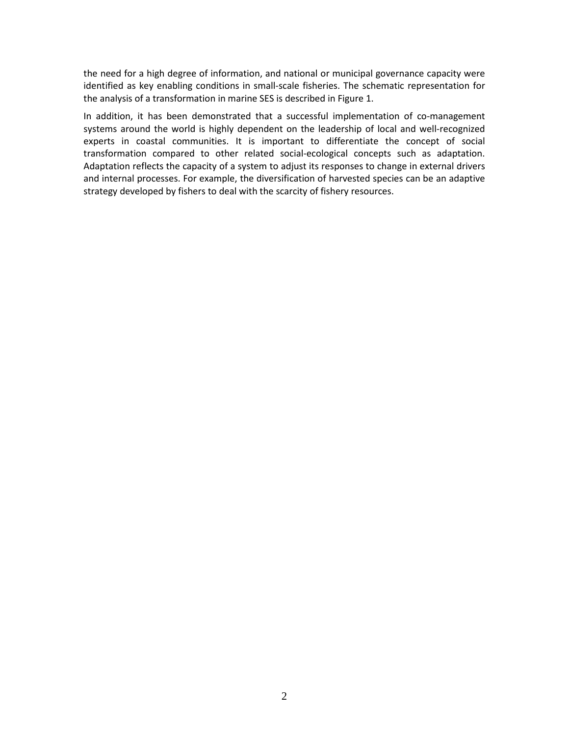the need for a high degree of information, and national or municipal governance capacity were identified as key enabling conditions in small-scale fisheries. The schematic representation for the analysis of a transformation in marine SES is described in Figure 1.

In addition, it has been demonstrated that a successful implementation of co-management systems around the world is highly dependent on the leadership of local and well-recognized experts in coastal communities. It is important to differentiate the concept of social transformation compared to other related social-ecological concepts such as adaptation. Adaptation reflects the capacity of a system to adjust its responses to change in external drivers and internal processes. For example, the diversification of harvested species can be an adaptive strategy developed by fishers to deal with the scarcity of fishery resources.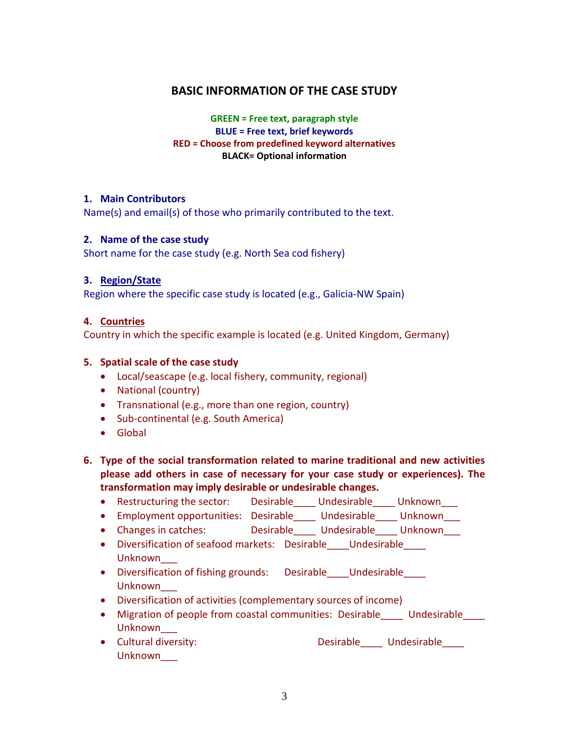# **BASIC INFORMATION OF THE CASE STUDY**

**GREEN = Free text, paragraph style BLUE = Free text, brief keywords RED = Choose from predefined keyword alternatives BLACK= Optional information**

#### **1. Main Contributors**

Name(s) and email(s) of those who primarily contributed to the text.

### **2. Name of the case study**

Short name for the case study (e.g. North Sea cod fishery)

### **3. Region/State**

Region where the specific case study is located (e.g., Galicia-NW Spain)

### **4. Countries**

Country in which the specific example is located (e.g. United Kingdom, Germany)

#### **5. Spatial scale of the case study**

- Local/seascape (e.g. local fishery, community, regional)
- National (country)
- Transnational (e.g., more than one region, country)
- Sub-continental (e.g. South America)
- Global
- **6. Type of the social transformation related to marine traditional and new activities please add others in case of necessary for your case study or experiences). The transformation may imply desirable or undesirable changes.**
	- Restructuring the sector: Desirable Undesirable Unknown
	- Employment opportunities: Desirable\_\_\_\_ Undesirable\_\_\_\_ Unknown\_\_\_
	- Changes in catches: Desirable Undesirable Unknown
	- Diversification of seafood markets: Desirable Undesirable Unknown\_\_\_
	- Diversification of fishing grounds: Desirable Undesirable Unknown\_\_\_
	- Diversification of activities (complementary sources of income)
	- Migration of people from coastal communities: Desirable Lundesirable Unknown\_\_\_
	- Cultural diversity:  $\qquad \qquad$  Desirable\_\_\_\_ Undesirable\_\_\_\_ Unknown\_\_\_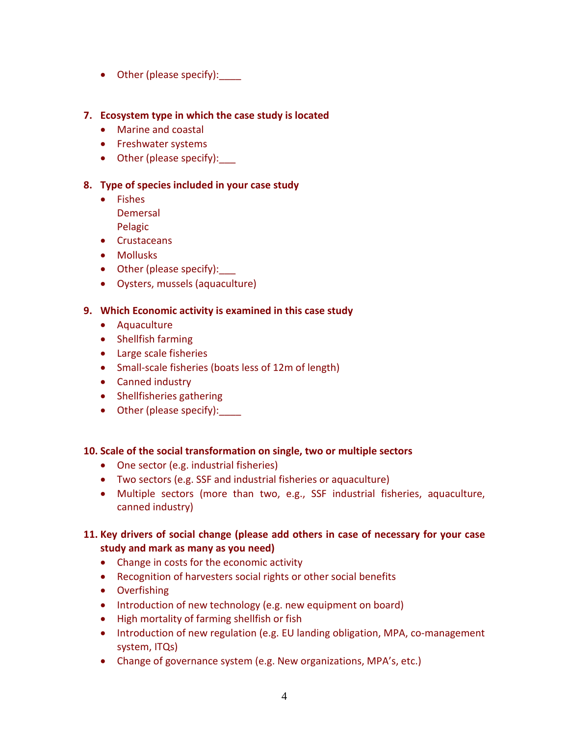• Other (please specify):

### **7. Ecosystem type in which the case study is located**

- Marine and coastal
- Freshwater systems
- Other (please specify):

### **8. Type of species included in your case study**

- Fishes Demersal Pelagic
- Crustaceans
- Mollusks
- Other (please specify):
- Oysters, mussels (aquaculture)

### **9. Which Economic activity is examined in this case study**

- Aquaculture
- Shellfish farming
- Large scale fisheries
- Small-scale fisheries (boats less of 12m of length)
- Canned industry
- Shellfisheries gathering
- Other (please specify):

### **10. Scale of the social transformation on single, two or multiple sectors**

- One sector (e.g. industrial fisheries)
- Two sectors (e.g. SSF and industrial fisheries or aquaculture)
- Multiple sectors (more than two, e.g., SSF industrial fisheries, aquaculture, canned industry)

## **11. Key drivers of social change (please add others in case of necessary for your case study and mark as many as you need)**

- Change in costs for the economic activity
- Recognition of harvesters social rights or other social benefits
- Overfishing
- Introduction of new technology (e.g. new equipment on board)
- High mortality of farming shellfish or fish
- Introduction of new regulation (e.g. EU landing obligation, MPA, co-management system, ITQs)
- Change of governance system (e.g. New organizations, MPA's, etc.)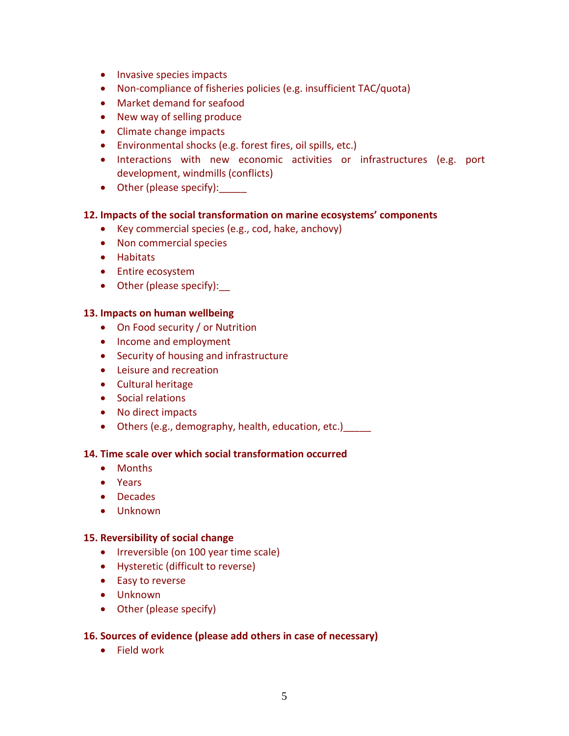- Invasive species impacts
- Non-compliance of fisheries policies (e.g. insufficient TAC/quota)
- Market demand for seafood
- New way of selling produce
- Climate change impacts
- Environmental shocks (e.g. forest fires, oil spills, etc.)
- Interactions with new economic activities or infrastructures (e.g. port development, windmills (conflicts)
- Other (please specify):

### **12. Impacts of the social transformation on marine ecosystems' components**

- Key commercial species (e.g., cod, hake, anchovy)
- Non commercial species
- Habitats
- Entire ecosystem
- Other (please specify):

#### **13. Impacts on human wellbeing**

- On Food security / or Nutrition
- Income and employment
- Security of housing and infrastructure
- Leisure and recreation
- Cultural heritage
- Social relations
- No direct impacts
- Others (e.g., demography, health, education, etc.)

#### **14. Time scale over which social transformation occurred**

- Months
- Years
- Decades
- Unknown

#### **15. Reversibility of social change**

- Irreversible (on 100 year time scale)
- Hysteretic (difficult to reverse)
- Easy to reverse
- Unknown
- Other (please specify)

### **16. Sources of evidence (please add others in case of necessary)**

• Field work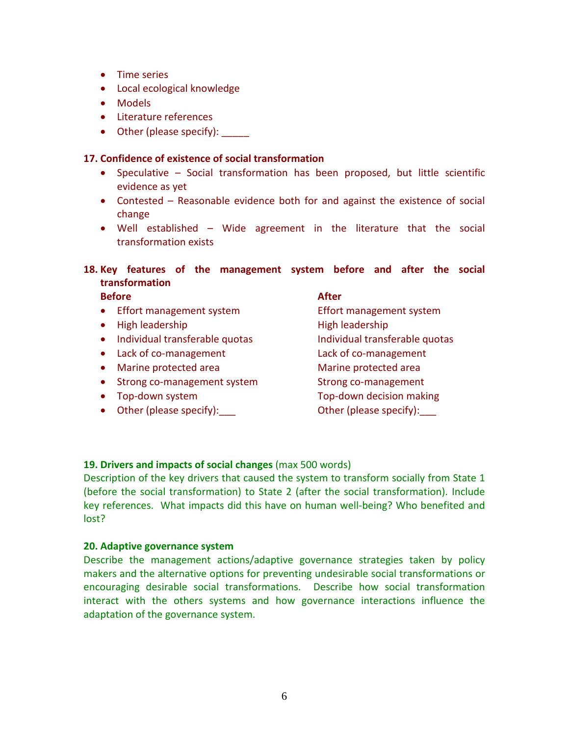- Time series
- Local ecological knowledge
- Models
- Literature references
- Other (please specify):

### **17. Confidence of existence of social transformation**

- Speculative Social transformation has been proposed, but little scientific evidence as yet
- Contested Reasonable evidence both for and against the existence of social change
- Well established Wide agreement in the literature that the social transformation exists

## **18. Key features of the management system before and after the social transformation**

**Before** After

- Effort management system Effort management system
- High leadership High leadership
- Individual transferable quotas individual transferable quotas
- Lack of co-management Lack of co-management
- Marine protected area Marine protected area
- Strong co-management system Strong co-management
- 
- Other (please specify):  $\qquad \qquad$  Other (please specify):

• Top-down system Top-down decision making

### **19. Drivers and impacts of social changes** (max 500 words)

Description of the key drivers that caused the system to transform socially from State 1 (before the social transformation) to State 2 (after the social transformation). Include key references. What impacts did this have on human well-being? Who benefited and lost?

### **20. Adaptive governance system**

Describe the management actions/adaptive governance strategies taken by policy makers and the alternative options for preventing undesirable social transformations or encouraging desirable social transformations. Describe how social transformation interact with the others systems and how governance interactions influence the adaptation of the governance system.